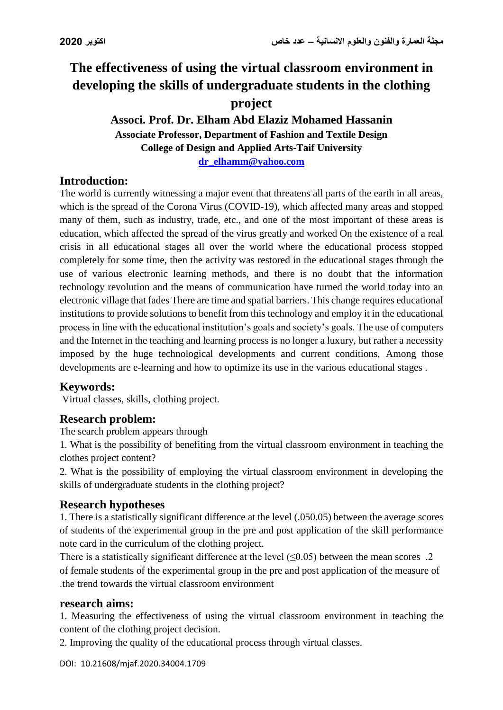# **The effectiveness of using the virtual classroom environment in developing the skills of undergraduate students in the clothing project**

## **Associ. Prof. Dr. Elham Abd Elaziz Mohamed Hassanin Associate Professor, Department of Fashion and Textile Design College of Design and Applied Arts-Taif University [dr\\_elhamm@yahoo.com](mailto:dr_elhamm@yahoo.com)**

# **Introduction:**

The world is currently witnessing a major event that threatens all parts of the earth in all areas, which is the spread of the Corona Virus (COVID-19), which affected many areas and stopped many of them, such as industry, trade, etc., and one of the most important of these areas is education, which affected the spread of the virus greatly and worked On the existence of a real crisis in all educational stages all over the world where the educational process stopped completely for some time, then the activity was restored in the educational stages through the use of various electronic learning methods, and there is no doubt that the information technology revolution and the means of communication have turned the world today into an electronic village that fades There are time and spatial barriers. This change requires educational institutions to provide solutions to benefit from this technology and employ it in the educational process in line with the educational institution's goals and society's goals. The use of computers and the Internet in the teaching and learning process is no longer a luxury, but rather a necessity imposed by the huge technological developments and current conditions, Among those developments are e-learning and how to optimize its use in the various educational stages .

#### **Keywords:**

Virtual classes, skills, clothing project.

# **Research problem:**

The search problem appears through

1. What is the possibility of benefiting from the virtual classroom environment in teaching the clothes project content?

2. What is the possibility of employing the virtual classroom environment in developing the skills of undergraduate students in the clothing project?

#### **Research hypotheses**

1. There is a statistically significant difference at the level (.050.05) between the average scores of students of the experimental group in the pre and post application of the skill performance note card in the curriculum of the clothing project.

There is a statistically significant difference at the level  $(\leq 0.05)$  between the mean scores .2 of female students of the experimental group in the pre and post application of the measure of .the trend towards the virtual classroom environment

#### **research aims:**

1. Measuring the effectiveness of using the virtual classroom environment in teaching the content of the clothing project decision.

2. Improving the quality of the educational process through virtual classes.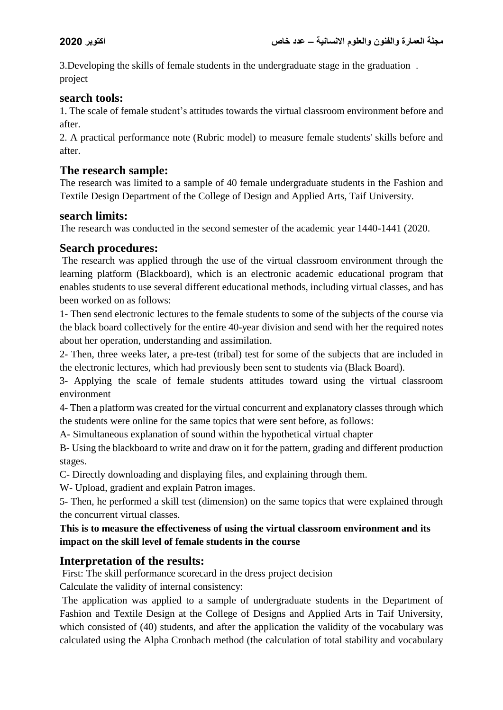3.Developing the skills of female students in the undergraduate stage in the graduation . project

## **search tools:**

1. The scale of female student's attitudes towards the virtual classroom environment before and after.

2. A practical performance note (Rubric model) to measure female students' skills before and after.

# **The research sample:**

The research was limited to a sample of 40 female undergraduate students in the Fashion and Textile Design Department of the College of Design and Applied Arts, Taif University.

#### **search limits:**

The research was conducted in the second semester of the academic year 1440-1441 (2020.

## **Search procedures:**

The research was applied through the use of the virtual classroom environment through the learning platform (Blackboard), which is an electronic academic educational program that enables students to use several different educational methods, including virtual classes, and has been worked on as follows:

1- Then send electronic lectures to the female students to some of the subjects of the course via the black board collectively for the entire 40-year division and send with her the required notes about her operation, understanding and assimilation.

2- Then, three weeks later, a pre-test (tribal) test for some of the subjects that are included in the electronic lectures, which had previously been sent to students via (Black Board).

3- Applying the scale of female students attitudes toward using the virtual classroom environment

4- Then a platform was created for the virtual concurrent and explanatory classes through which the students were online for the same topics that were sent before, as follows:

A- Simultaneous explanation of sound within the hypothetical virtual chapter

B- Using the blackboard to write and draw on it for the pattern, grading and different production stages.

C- Directly downloading and displaying files, and explaining through them.

W- Upload, gradient and explain Patron images.

5- Then, he performed a skill test (dimension) on the same topics that were explained through the concurrent virtual classes.

#### **This is to measure the effectiveness of using the virtual classroom environment and its impact on the skill level of female students in the course**

# **Interpretation of the results:**

First: The skill performance scorecard in the dress project decision

Calculate the validity of internal consistency:

The application was applied to a sample of undergraduate students in the Department of Fashion and Textile Design at the College of Designs and Applied Arts in Taif University, which consisted of (40) students, and after the application the validity of the vocabulary was calculated using the Alpha Cronbach method (the calculation of total stability and vocabulary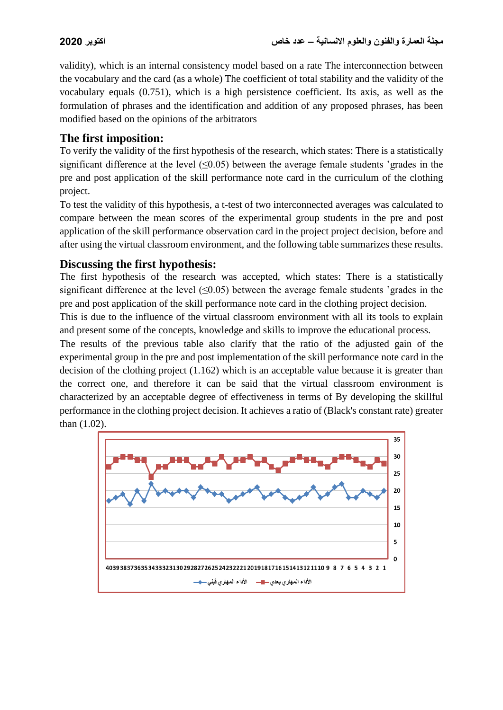validity), which is an internal consistency model based on a rate The interconnection between the vocabulary and the card (as a whole) The coefficient of total stability and the validity of the vocabulary equals (0.751), which is a high persistence coefficient. Its axis, as well as the formulation of phrases and the identification and addition of any proposed phrases, has been modified based on the opinions of the arbitrators

# **The first imposition:**

To verify the validity of the first hypothesis of the research, which states: There is a statistically significant difference at the level  $(\leq 0.05)$  between the average female students 'grades in the pre and post application of the skill performance note card in the curriculum of the clothing project.

To test the validity of this hypothesis, a t-test of two interconnected averages was calculated to compare between the mean scores of the experimental group students in the pre and post application of the skill performance observation card in the project project decision, before and after using the virtual classroom environment, and the following table summarizes these results.

## **Discussing the first hypothesis:**

The first hypothesis of the research was accepted, which states: There is a statistically significant difference at the level  $(\leq 0.05)$  between the average female students 'grades in the pre and post application of the skill performance note card in the clothing project decision.

This is due to the influence of the virtual classroom environment with all its tools to explain and present some of the concepts, knowledge and skills to improve the educational process.

The results of the previous table also clarify that the ratio of the adjusted gain of the experimental group in the pre and post implementation of the skill performance note card in the decision of the clothing project (1.162) which is an acceptable value because it is greater than the correct one, and therefore it can be said that the virtual classroom environment is characterized by an acceptable degree of effectiveness in terms of By developing the skillful performance in the clothing project decision. It achieves a ratio of (Black's constant rate) greater than (1.02).

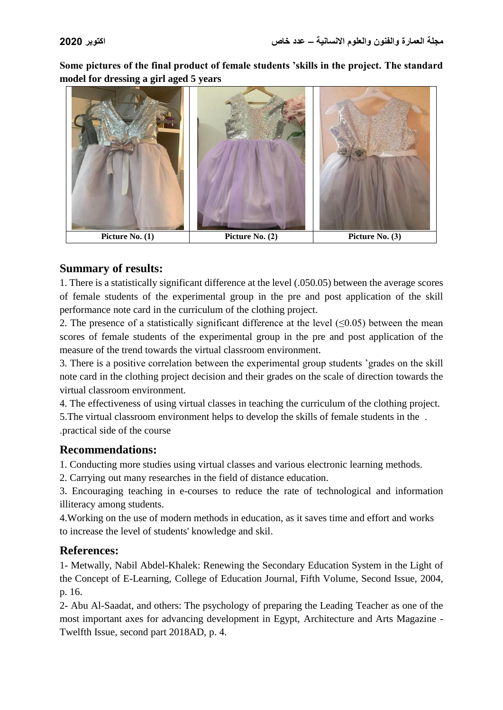**Some pictures of the final product of female students 'skills in the project. The standard model for dressing a girl aged 5 years**



#### **Summary of results:**

1. There is a statistically significant difference at the level (.050.05) between the average scores of female students of the experimental group in the pre and post application of the skill performance note card in the curriculum of the clothing project.

2. The presence of a statistically significant difference at the level  $(\leq 0.05)$  between the mean scores of female students of the experimental group in the pre and post application of the measure of the trend towards the virtual classroom environment.

3. There is a positive correlation between the experimental group students 'grades on the skill note card in the clothing project decision and their grades on the scale of direction towards the virtual classroom environment.

4. The effectiveness of using virtual classes in teaching the curriculum of the clothing project.

5.The virtual classroom environment helps to develop the skills of female students in the . .practical side of the course

# **Recommendations:**

1. Conducting more studies using virtual classes and various electronic learning methods.

2. Carrying out many researches in the field of distance education.

3. Encouraging teaching in e-courses to reduce the rate of technological and information illiteracy among students.

4.Working on the use of modern methods in education, as it saves time and effort and works to increase the level of students' knowledge and skil.

# **References:**

1- Metwally, Nabil Abdel-Khalek: Renewing the Secondary Education System in the Light of the Concept of E-Learning, College of Education Journal, Fifth Volume, Second Issue, 2004, p. 16.

2- Abu Al-Saadat, and others: The psychology of preparing the Leading Teacher as one of the most important axes for advancing development in Egypt, Architecture and Arts Magazine - Twelfth Issue, second part 2018AD, p. 4.